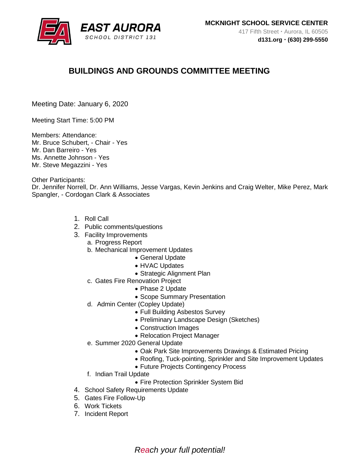

## **BUILDINGS AND GROUNDS COMMITTEE MEETING**

Meeting Date: January 6, 2020

Meeting Start Time: 5:00 PM

Members: Attendance: Mr. Bruce Schubert, - Chair - Yes Mr. Dan Barreiro - Yes Ms. Annette Johnson - Yes Mr. Steve Megazzini - Yes

Other Participants:

Dr. Jennifer Norrell, Dr. Ann Williams, Jesse Vargas, Kevin Jenkins and Craig Welter, Mike Perez, Mark Spangler, - Cordogan Clark & Associates

- 1. Roll Call
- 2. Public comments/questions
- 3. Facility Improvements
	- a. Progress Report
	- b. Mechanical Improvement Updates
		- General Update
		- HVAC Updates
		- Strategic Alignment Plan
	- c. Gates Fire Renovation Project
		- Phase 2 Update
		- Scope Summary Presentation
	- d. Admin Center (Copley Update)
		- Full Building Asbestos Survey
		- Preliminary Landscape Design (Sketches)
		- Construction Images
		- Relocation Project Manager
	- e. Summer 2020 General Update
		- Oak Park Site Improvements Drawings & Estimated Pricing
		- Roofing, Tuck-pointing, Sprinkler and Site Improvement Updates
		- Future Projects Contingency Process
	- f. Indian Trail Update
		- Fire Protection Sprinkler System Bid
- 4. School Safety Requirements Update
- 5. Gates Fire Follow-Up
- 6. Work Tickets
- 7. Incident Report

*Reach your full potential!*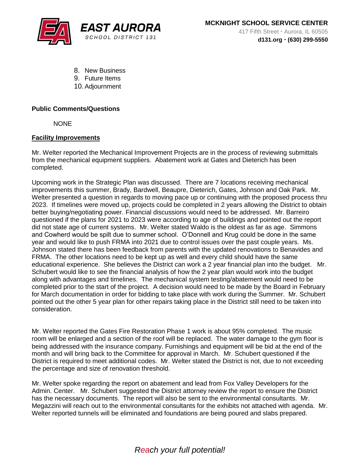

- 8. New Business
- 9. Future Items
- 10.Adjournment

### **Public Comments/Questions**

**NONE** 

#### **Facility Improvements**

Mr. Welter reported the Mechanical Improvement Projects are in the process of reviewing submittals from the mechanical equipment suppliers. Abatement work at Gates and Dieterich has been completed.

Upcoming work in the Strategic Plan was discussed. There are 7 locations receiving mechanical improvements this summer, Brady, Bardwell, Beaupre, Dieterich, Gates, Johnson and Oak Park. Mr. Welter presented a question in regards to moving pace up or continuing with the proposed process thru 2023. If timelines were moved up, projects could be completed in 2 years allowing the District to obtain better buying/negotiating power. Financial discussions would need to be addressed. Mr. Barreiro questioned if the plans for 2021 to 2023 were according to age of buildings and pointed out the report did not state age of current systems. Mr. Welter stated Waldo is the oldest as far as age. Simmons and Cowherd would be spilt due to summer school. O'Donnell and Krug could be done in the same year and would like to push FRMA into 2021 due to control issues over the past couple years. Ms. Johnson stated there has been feedback from parents with the updated renovations to Benavides and FRMA. The other locations need to be kept up as well and every child should have the same educational experience. She believes the District can work a 2 year financial plan into the budget. Mr. Schubert would like to see the financial analysis of how the 2 year plan would work into the budget along with advantages and timelines. The mechanical system testing/abatement would need to be completed prior to the start of the project. A decision would need to be made by the Board in February for March documentation in order for bidding to take place with work during the Summer. Mr. Schubert pointed out the other 5 year plan for other repairs taking place in the District still need to be taken into consideration.

Mr. Welter reported the Gates Fire Restoration Phase 1 work is about 95% completed. The music room will be enlarged and a section of the roof will be replaced. The water damage to the gym floor is being addressed with the insurance company. Furnishings and equipment will be bid at the end of the month and will bring back to the Committee for approval in March. Mr. Schubert questioned if the District is required to meet additional codes. Mr. Welter stated the District is not, due to not exceeding the percentage and size of renovation threshold.

Mr. Welter spoke regarding the report on abatement and lead from Fox Valley Developers for the Admin. Center. Mr. Schubert suggested the District attorney review the report to ensure the District has the necessary documents. The report will also be sent to the environmental consultants. Mr. Megazzini will reach out to the environmental consultants for the exhibits not attached with agenda. Mr. Welter reported tunnels will be eliminated and foundations are being poured and slabs prepared.

# *Reach your full potential!*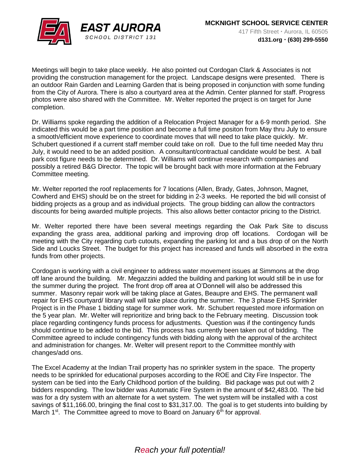

Meetings will begin to take place weekly. He also pointed out Cordogan Clark & Associates is not providing the construction management for the project. Landscape designs were presented. There is an outdoor Rain Garden and Learning Garden that is being proposed in conjunction with some funding from the City of Aurora. There is also a courtyard area at the Admin. Center planned for staff. Progress photos were also shared with the Committee. Mr. Welter reported the project is on target for June completion.

Dr. Williams spoke regarding the addition of a Relocation Project Manager for a 6-9 month period. She indicated this would be a part time position and become a full time positon from May thru July to ensure a smooth/efficient move experience to coordinate moves that will need to take place quickly. Mr. Schubert questioned if a current staff member could take on roll. Due to the full time needed May thru July, it would need to be an added position. A consultant/contractual candidate would be best. A ball park cost figure needs to be determined. Dr. Williams will continue research with companies and possibly a retired B&G Director. The topic will be brought back with more information at the February Committee meeting.

Mr. Welter reported the roof replacements for 7 locations (Allen, Brady, Gates, Johnson, Magnet, Cowherd and EHS) should be on the street for bidding in 2-3 weeks. He reported the bid will consist of bidding projects as a group and as individual projects. The group bidding can allow the contractors discounts for being awarded multiple projects. This also allows better contactor pricing to the District.

Mr. Welter reported there have been several meetings regarding the Oak Park Site to discuss expanding the grass area, additional parking and improving drop off locations. Cordogan will be meeting with the City regarding curb cutouts, expanding the parking lot and a bus drop of on the North Side and Loucks Street. The budget for this project has increased and funds will absorbed in the extra funds from other projects.

Cordogan is working with a civil engineer to address water movement issues at Simmons at the drop off lane around the building. Mr. Megazzini added the building and parking lot would still be in use for the summer during the project. The front drop off area at O'Donnell will also be addressed this summer. Masonry repair work will be taking place at Gates, Beaupre and EHS. The permanent wall repair for EHS courtyard/ library wall will take place during the summer. The 3 phase EHS Sprinkler Project is in the Phase 1 bidding stage for summer work. Mr. Schubert requested more information on the 5 year plan. Mr. Welter will reprioritize and bring back to the February meeting. Discussion took place regarding contingency funds process for adjustments. Question was if the contingency funds should continue to be added to the bid. This process has currently been taken out of bidding. The Committee agreed to include contingency funds with bidding along with the approval of the architect and administration for changes. Mr. Welter will present report to the Committee monthly with changes/add ons.

The Excel Academy at the Indian Trail property has no sprinkler system in the space. The property needs to be sprinkled for educational purposes according to the ROE and City Fire Inspector. The system can be tied into the Early Childhood portion of the building. Bid package was put out with 2 bidders responding. The low bidder was Automatic Fire System in the amount of \$42,483.00. The bid was for a dry system with an alternate for a wet system. The wet system will be installed with a cost savings of \$11,166.00, bringing the final cost to \$31,317.00. The goal is to get students into building by March 1<sup>st</sup>. The Committee agreed to move to Board on January 6<sup>th</sup> for approval.

## *Reach your full potential!*